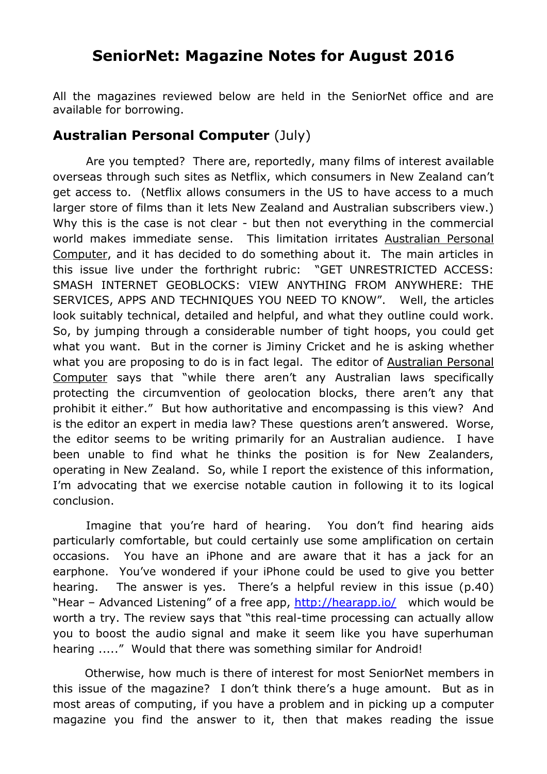## **SeniorNet: Magazine Notes for August 2016**

All the magazines reviewed below are held in the SeniorNet office and are available for borrowing.

## **Australian Personal Computer** (July)

Are you tempted? There are, reportedly, many films of interest available overseas through such sites as Netflix, which consumers in New Zealand can't get access to. (Netflix allows consumers in the US to have access to a much larger store of films than it lets New Zealand and Australian subscribers view.) Why this is the case is not clear - but then not everything in the commercial world makes immediate sense. This limitation irritates Australian Personal Computer, and it has decided to do something about it. The main articles in this issue live under the forthright rubric: "GET UNRESTRICTED ACCESS: SMASH INTERNET GEOBLOCKS: VIEW ANYTHING FROM ANYWHERE: THE SERVICES, APPS AND TECHNIQUES YOU NEED TO KNOW". Well, the articles look suitably technical, detailed and helpful, and what they outline could work. So, by jumping through a considerable number of tight hoops, you could get what you want. But in the corner is Jiminy Cricket and he is asking whether what you are proposing to do is in fact legal. The editor of Australian Personal Computer says that "while there aren't any Australian laws specifically protecting the circumvention of geolocation blocks, there aren't any that prohibit it either." But how authoritative and encompassing is this view? And is the editor an expert in media law? These questions aren't answered. Worse, the editor seems to be writing primarily for an Australian audience. I have been unable to find what he thinks the position is for New Zealanders, operating in New Zealand. So, while I report the existence of this information, I'm advocating that we exercise notable caution in following it to its logical conclusion.

Imagine that you're hard of hearing. You don't find hearing aids particularly comfortable, but could certainly use some amplification on certain occasions. You have an iPhone and are aware that it has a jack for an earphone. You've wondered if your iPhone could be used to give you better hearing. The answer is yes. There's a helpful review in this issue (p.40) "Hear – Advanced Listening" of a free app,<http://hearapp.io/>which would be worth a try. The review says that "this real-time processing can actually allow you to boost the audio signal and make it seem like you have superhuman hearing ....." Would that there was something similar for Android!

 Otherwise, how much is there of interest for most SeniorNet members in this issue of the magazine? I don't think there's a huge amount. But as in most areas of computing, if you have a problem and in picking up a computer magazine you find the answer to it, then that makes reading the issue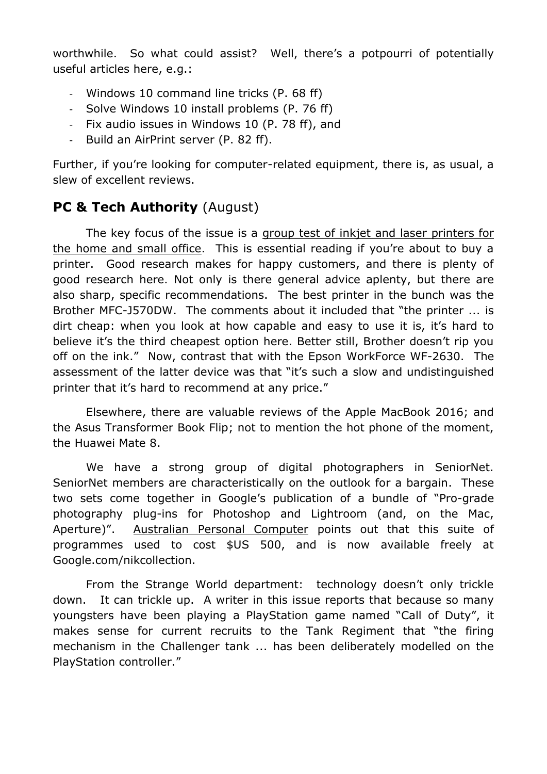worthwhile. So what could assist? Well, there's a potpourri of potentially useful articles here, e.g.:

- Windows 10 command line tricks (P. 68 ff)
- Solve Windows 10 install problems (P. 76 ff)
- Fix audio issues in Windows 10 (P. 78 ff), and
- Build an AirPrint server (P. 82 ff).

Further, if you're looking for computer-related equipment, there is, as usual, a slew of excellent reviews.

## **PC & Tech Authority (August)**

The key focus of the issue is a group test of inkjet and laser printers for the home and small office. This is essential reading if you're about to buy a printer. Good research makes for happy customers, and there is plenty of good research here. Not only is there general advice aplenty, but there are also sharp, specific recommendations. The best printer in the bunch was the Brother MFC-J570DW. The comments about it included that "the printer ... is dirt cheap: when you look at how capable and easy to use it is, it's hard to believe it's the third cheapest option here. Better still, Brother doesn't rip you off on the ink." Now, contrast that with the Epson WorkForce WF-2630. The assessment of the latter device was that "it's such a slow and undistinguished printer that it's hard to recommend at any price."

Elsewhere, there are valuable reviews of the Apple MacBook 2016; and the Asus Transformer Book Flip; not to mention the hot phone of the moment, the Huawei Mate 8.

We have a strong group of digital photographers in SeniorNet. SeniorNet members are characteristically on the outlook for a bargain. These two sets come together in Google's publication of a bundle of "Pro-grade photography plug-ins for Photoshop and Lightroom (and, on the Mac, Aperture)". Australian Personal Computer points out that this suite of programmes used to cost \$US 500, and is now available freely at Google.com/nikcollection.

From the Strange World department: technology doesn't only trickle down. It can trickle up. A writer in this issue reports that because so many youngsters have been playing a PlayStation game named "Call of Duty", it makes sense for current recruits to the Tank Regiment that "the firing mechanism in the Challenger tank ... has been deliberately modelled on the PlayStation controller."